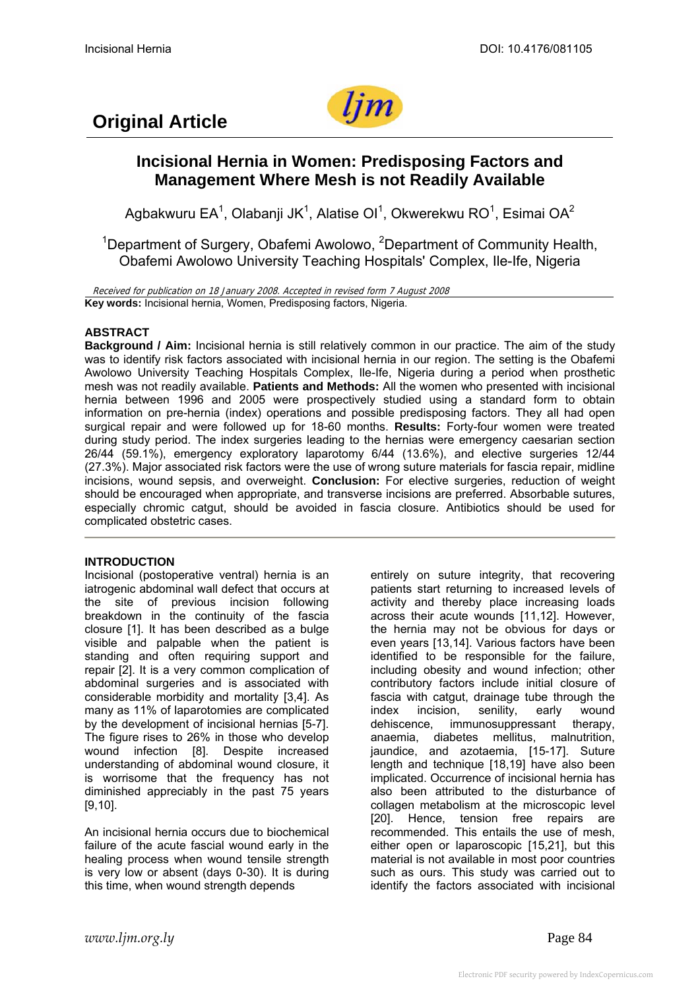

# **Original Article**

# **Incisional Hernia in Women: Predisposing Factors and Management Where Mesh is not Readily Available**

Agbakwuru EA<sup>1</sup>, Olabanji JK<sup>1</sup>, Alatise OI<sup>1</sup>, Okwerekwu RO<sup>1</sup>, Esimai OA<sup>2</sup>

<sup>1</sup>Department of Surgery, Obafemi Awolowo, <sup>2</sup>Department of Community Health, Obafemi Awolowo University Teaching Hospitals' Complex, Ile-Ife, Nigeria

Received for publication on 18 January 2008. Accepted in revised form 7 August 2008 **Key words:** Incisional hernia, Women, Predisposing factors, Nigeria.

# **ABSTRACT**

**Background / Aim:** Incisional hernia is still relatively common in our practice. The aim of the study was to identify risk factors associated with incisional hernia in our region. The setting is the Obafemi Awolowo University Teaching Hospitals Complex, Ile-Ife, Nigeria during a period when prosthetic mesh was not readily available. **Patients and Methods:** All the women who presented with incisional hernia between 1996 and 2005 were prospectively studied using a standard form to obtain information on pre-hernia (index) operations and possible predisposing factors. They all had open surgical repair and were followed up for 18-60 months. **Results:** Forty-four women were treated during study period. The index surgeries leading to the hernias were emergency caesarian section 26/44 (59.1%), emergency exploratory laparotomy 6/44 (13.6%), and elective surgeries 12/44 (27.3%). Major associated risk factors were the use of wrong suture materials for fascia repair, midline incisions, wound sepsis, and overweight. **Conclusion:** For elective surgeries, reduction of weight should be encouraged when appropriate, and transverse incisions are preferred. Absorbable sutures, especially chromic catgut, should be avoided in fascia closure. Antibiotics should be used for complicated obstetric cases.

## **INTRODUCTION**

Incisional (postoperative ventral) hernia is an iatrogenic abdominal wall defect that occurs at the site of previous incision following breakdown in the continuity of the fascia closure [1]. It has been described as a bulge visible and palpable when the patient is standing and often requiring support and repair [2]. It is a very common complication of abdominal surgeries and is associated with considerable morbidity and mortality [3,4]. As many as 11% of laparotomies are complicated by the development of incisional hernias [5-7]. The figure rises to 26% in those who develop wound infection [8]. Despite increased understanding of abdominal wound closure, it is worrisome that the frequency has not diminished appreciably in the past 75 years [9,10].

An incisional hernia occurs due to biochemical failure of the acute fascial wound early in the healing process when wound tensile strength is very low or absent (days 0-30). It is during this time, when wound strength depends

entirely on suture integrity, that recovering patients start returning to increased levels of activity and thereby place increasing loads across their acute wounds [11,12]. However, the hernia may not be obvious for days or even years [13,14]. Various factors have been identified to be responsible for the failure, including obesity and wound infection; other contributory factors include initial closure of fascia with catgut, drainage tube through the index incision, senility, early wound dehiscence, immunosuppressant therapy, anaemia, diabetes mellitus, malnutrition, iaundice, and azotaemia, [15-17]. Suture length and technique [18,19] have also been implicated. Occurrence of incisional hernia has also been attributed to the disturbance of collagen metabolism at the microscopic level [20]. Hence, tension free repairs are recommended. This entails the use of mesh, either open or laparoscopic [15,21], but this material is not available in most poor countries such as ours. This study was carried out to identify the factors associated with incisional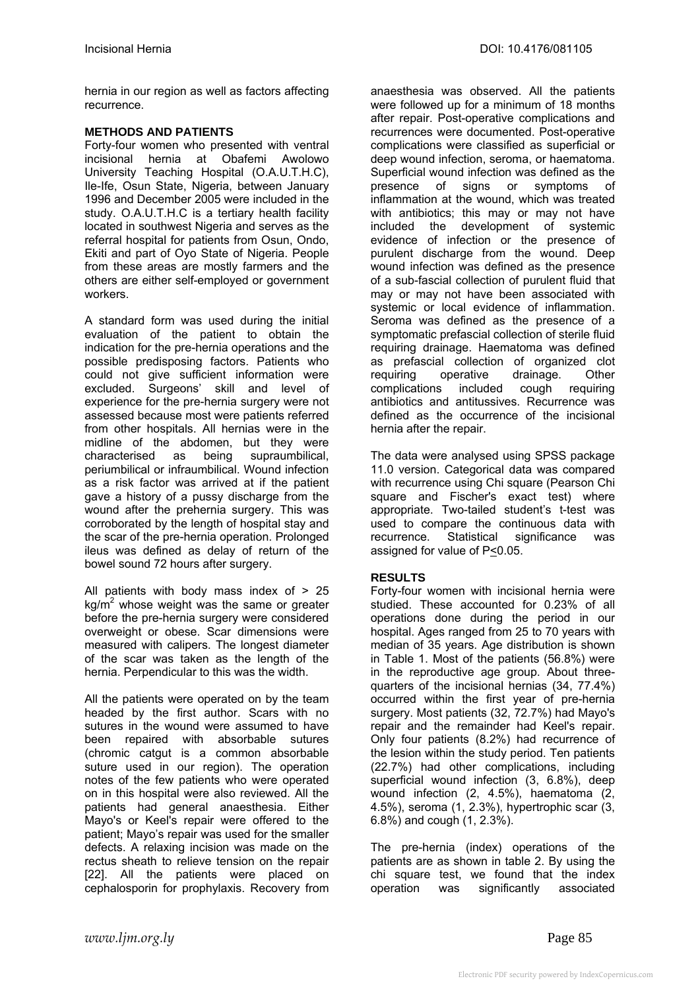hernia in our region as well as factors affecting recurrence.

## **METHODS AND PATIENTS**

Forty-four women who presented with ventral incisional hernia at Obafemi Awolowo University Teaching Hospital (O.A.U.T.H.C), Ile-Ife, Osun State, Nigeria, between January 1996 and December 2005 were included in the study. O.A.U.T.H.C is a tertiary health facility located in southwest Nigeria and serves as the referral hospital for patients from Osun, Ondo, Ekiti and part of Oyo State of Nigeria. People from these areas are mostly farmers and the others are either self-employed or government workers.

A standard form was used during the initial evaluation of the patient to obtain the indication for the pre-hernia operations and the possible predisposing factors. Patients who could not give sufficient information were excluded. Surgeons' skill and level of experience for the pre-hernia surgery were not assessed because most were patients referred from other hospitals. All hernias were in the midline of the abdomen, but they were characterised as being supraumbilical, periumbilical or infraumbilical. Wound infection as a risk factor was arrived at if the patient gave a history of a pussy discharge from the wound after the prehernia surgery. This was corroborated by the length of hospital stay and the scar of the pre-hernia operation. Prolonged ileus was defined as delay of return of the bowel sound 72 hours after surgery.

All patients with body mass index of  $> 25$  $kg/m<sup>2</sup>$  whose weight was the same or greater before the pre-hernia surgery were considered overweight or obese. Scar dimensions were measured with calipers. The longest diameter of the scar was taken as the length of the hernia. Perpendicular to this was the width.

All the patients were operated on by the team headed by the first author. Scars with no sutures in the wound were assumed to have been repaired with absorbable sutures (chromic catgut is a common absorbable suture used in our region). The operation notes of the few patients who were operated on in this hospital were also reviewed. All the patients had general anaesthesia. Either Mayo's or Keel's repair were offered to the patient; Mayo's repair was used for the smaller defects. A relaxing incision was made on the rectus sheath to relieve tension on the repair [22]. All the patients were placed on cephalosporin for prophylaxis. Recovery from

anaesthesia was observed. All the patients were followed up for a minimum of 18 months after repair. Post-operative complications and recurrences were documented. Post-operative complications were classified as superficial or deep wound infection, seroma, or haematoma. Superficial wound infection was defined as the presence of signs or symptoms of inflammation at the wound, which was treated with antibiotics; this may or may not have included the development of systemic evidence of infection or the presence of purulent discharge from the wound. Deep wound infection was defined as the presence of a sub-fascial collection of purulent fluid that may or may not have been associated with systemic or local evidence of inflammation. Seroma was defined as the presence of a symptomatic prefascial collection of sterile fluid requiring drainage. Haematoma was defined as prefascial collection of organized clot requiring operative drainage. Other complications included cough requiring antibiotics and antitussives. Recurrence was defined as the occurrence of the incisional hernia after the repair.

The data were analysed using SPSS package 11.0 version. Categorical data was compared with recurrence using Chi square (Pearson Chi square and Fischer's exact test) where appropriate. Two-tailed student's t-test was used to compare the continuous data with recurrence. Statistical significance was assigned for value of P<0.05.

# **RESULTS**

Forty-four women with incisional hernia were studied. These accounted for 0.23% of all operations done during the period in our hospital. Ages ranged from 25 to 70 years with median of 35 years. Age distribution is shown in Table 1. Most of the patients (56.8%) were in the reproductive age group. About threequarters of the incisional hernias (34, 77.4%) occurred within the first year of pre-hernia surgery. Most patients (32, 72.7%) had Mayo's repair and the remainder had Keel's repair. Only four patients (8.2%) had recurrence of the lesion within the study period. Ten patients (22.7%) had other complications, including superficial wound infection (3, 6.8%), deep wound infection (2, 4.5%), haematoma (2, 4.5%), seroma (1, 2.3%), hypertrophic scar (3, 6.8%) and cough (1, 2.3%).

The pre-hernia (index) operations of the patients are as shown in table 2. By using the chi square test, we found that the index operation was significantly associated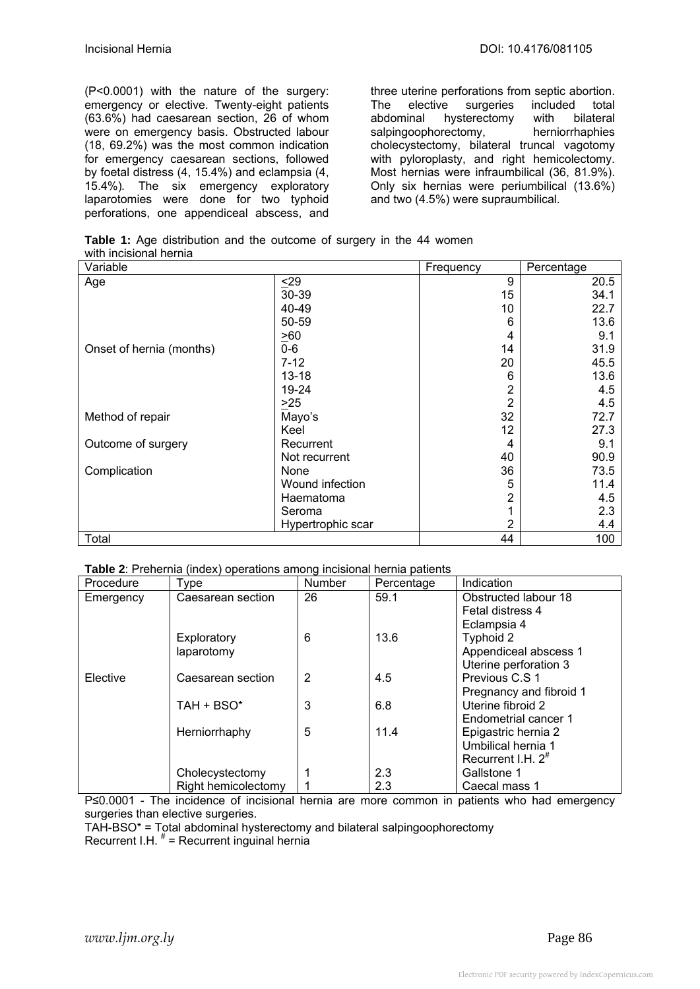(P<0.0001) with the nature of the surgery: emergency or elective. Twenty-eight patients (63.6%) had caesarean section, 26 of whom were on emergency basis. Obstructed labour (18, 69.2%) was the most common indication for emergency caesarean sections, followed by foetal distress (4, 15.4%) and eclampsia (4, 15.4%)*.* The six emergency exploratory laparotomies were done for two typhoid perforations, one appendiceal abscess, and three uterine perforations from septic abortion. The elective surgeries included total abdominal hysterectomy with bilateral salpingoophorectomy, herniorrhaphies cholecystectomy, bilateral truncal vagotomy with pyloroplasty, and right hemicolectomy. Most hernias were infraumbilical (36, 81.9%). Only six hernias were periumbilical (13.6%) and two (4.5%) were supraumbilical.

**Table 1:** Age distribution and the outcome of surgery in the 44 women with incisional hernia

| Variable                 |                   | Frequency | Percentage |
|--------------------------|-------------------|-----------|------------|
| Age                      | $29$              | 9         | 20.5       |
|                          | 30-39             | 15        | 34.1       |
|                          | 40-49             | 10        | 22.7       |
|                          | 50-59             | 6         | 13.6       |
|                          | $\geq 60$         | 4         | 9.1        |
| Onset of hernia (months) | $0-6$             | 14        | 31.9       |
|                          | $7 - 12$          | 20        | 45.5       |
|                          | $13 - 18$         | 6         | 13.6       |
|                          | 19-24             |           | 4.5        |
|                          | $>25$             | 2         | 4.5        |
| Method of repair         | Mayo's            | 32        | 72.7       |
|                          | Keel              | 12        | 27.3       |
| Outcome of surgery       | Recurrent         | 4         | 9.1        |
|                          | Not recurrent     | 40        | 90.9       |
| Complication             | None              | 36        | 73.5       |
|                          | Wound infection   | 5         | 11.4       |
|                          | Haematoma         |           | 4.5        |
|                          | Seroma            |           | 2.3        |
|                          | Hypertrophic scar | 2         | 4.4        |
| Total                    |                   | 44        | 100        |

| Table 2: Prehernia (index) operations among incisional hernia patients |  |  |
|------------------------------------------------------------------------|--|--|
|                                                                        |  |  |

| Procedure | Type                | <b>Number</b> | Percentage | Indication               |
|-----------|---------------------|---------------|------------|--------------------------|
| Emergency | Caesarean section   | 26            | 59.1       | Obstructed labour 18     |
|           |                     |               |            | Fetal distress 4         |
|           |                     |               |            | Eclampsia 4              |
|           | Exploratory         | 6             | 13.6       | Typhoid 2                |
|           | laparotomy          |               |            | Appendiceal abscess 1    |
|           |                     |               |            | Uterine perforation 3    |
| Elective  | Caesarean section   | 2             | 4.5        | Previous C.S 1           |
|           |                     |               |            | Pregnancy and fibroid 1  |
|           | TAH + BSO*          | 3             | 6.8        | Uterine fibroid 2        |
|           |                     |               |            | Endometrial cancer 1     |
|           | Herniorrhaphy       | 5             | 11.4       | Epigastric hernia 2      |
|           |                     |               |            | Umbilical hernia 1       |
|           |                     |               |            | Recurrent I.H. $2^{\pi}$ |
|           | Cholecystectomy     |               | 2.3        | Gallstone 1              |
|           | Right hemicolectomy |               | 2.3        | Caecal mass 1            |

P≤0.0001 - The incidence of incisional hernia are more common in patients who had emergency surgeries than elective surgeries.

TAH-BSO\* = Total abdominal hysterectomy and bilateral salpingoophorectomy

Recurrent I.H.  $* =$  Recurrent inguinal hernia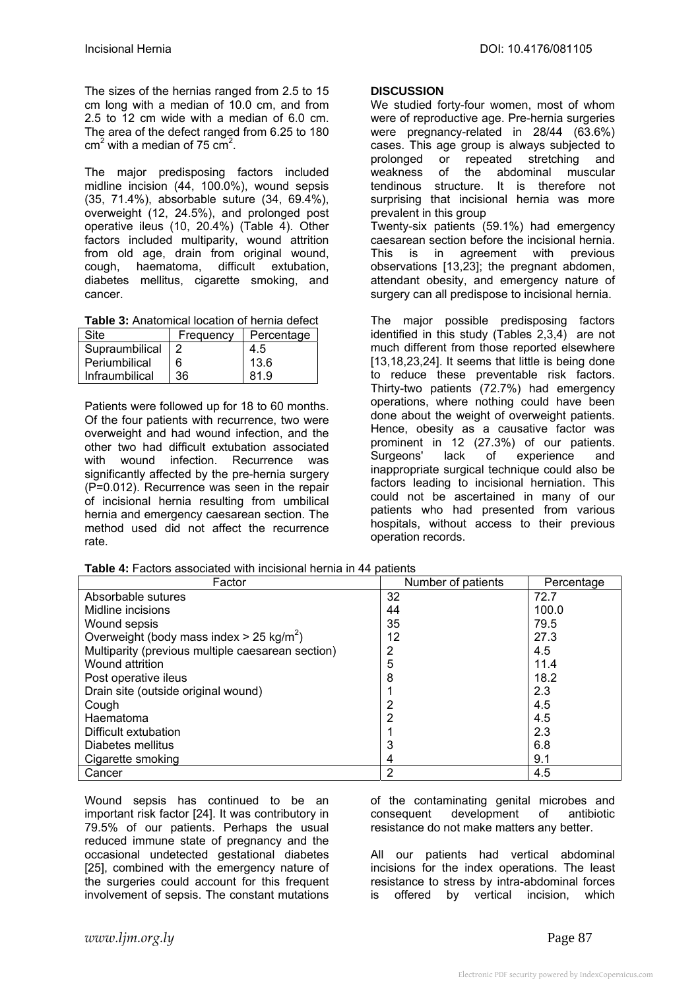The sizes of the hernias ranged from 2.5 to 15 cm long with a median of 10.0 cm, and from 2.5 to 12 cm wide with a median of 6.0 cm. The area of the defect ranged from 6.25 to 180  $cm<sup>2</sup>$  with a median of 75  $cm<sup>2</sup>$ .

The major predisposing factors included midline incision (44, 100.0%), wound sepsis (35, 71.4%), absorbable suture (34, 69.4%), overweight (12, 24.5%), and prolonged post operative ileus (10, 20.4%) (Table 4). Other factors included multiparity, wound attrition from old age, drain from original wound, cough, haematoma, difficult extubation, diabetes mellitus, cigarette smoking, and cancer.

**Table 3:** Anatomical location of hernia defect

| <b>Site</b>    | Frequency | Percentage |
|----------------|-----------|------------|
| Supraumbilical |           | 4.5        |
| Periumbilical  | 6         | 13.6       |
| Infraumbilical | 36        | 81.9       |

Patients were followed up for 18 to 60 months. Of the four patients with recurrence, two were overweight and had wound infection, and the other two had difficult extubation associated with wound infection. Recurrence was significantly affected by the pre-hernia surgery (P=0.012). Recurrence was seen in the repair of incisional hernia resulting from umbilical hernia and emergency caesarean section. The method used did not affect the recurrence rate.

|  | Table 4: Factors associated with incisional hernia in 44 patients |  |  |  |
|--|-------------------------------------------------------------------|--|--|--|
|--|-------------------------------------------------------------------|--|--|--|

#### **DISCUSSION**

We studied forty-four women, most of whom were of reproductive age. Pre-hernia surgeries were pregnancy-related in 28/44 (63.6%) cases. This age group is always subjected to prolonged or repeated stretching and weakness of the abdominal muscular tendinous structure. It is therefore not surprising that incisional hernia was more prevalent in this group Twenty-six patients (59.1%) had emergency caesarean section before the incisional hernia. This is in agreement with previous observations [13,23]; the pregnant abdomen, attendant obesity, and emergency nature of surgery can all predispose to incisional hernia.

The major possible predisposing factors identified in this study (Tables 2,3,4) are not much different from those reported elsewhere [13,18,23,24]. It seems that little is being done to reduce these preventable risk factors. Thirty-two patients (72.7%) had emergency operations, where nothing could have been done about the weight of overweight patients. Hence, obesity as a causative factor was prominent in 12 (27.3%) of our patients. Surgeons' lack of experience and inappropriate surgical technique could also be factors leading to incisional herniation. This could not be ascertained in many of our patients who had presented from various hospitals, without access to their previous operation records.

| Factor                                                 | Number of patients | Percentage |
|--------------------------------------------------------|--------------------|------------|
| Absorbable sutures                                     | 32                 | 72.7       |
| Midline incisions                                      | 44                 | 100.0      |
| Wound sepsis                                           | 35                 | 79.5       |
| Overweight (body mass index $> 25$ kg/m <sup>2</sup> ) | 12                 | 27.3       |
| Multiparity (previous multiple caesarean section)      | 2                  | 4.5        |
| Wound attrition                                        | 5                  | 11.4       |
| Post operative ileus                                   | 8                  | 18.2       |
| Drain site (outside original wound)                    |                    | 2.3        |
| Cough                                                  | 2                  | 4.5        |
| Haematoma                                              | 2                  | 4.5        |
| Difficult extubation                                   |                    | 2.3        |
| Diabetes mellitus                                      | 3                  | 6.8        |
| Cigarette smoking                                      | 4                  | 9.1        |
| Cancer                                                 | 2                  | 4.5        |

Wound sepsis has continued to be an important risk factor [24]. It was contributory in 79.5% of our patients. Perhaps the usual reduced immune state of pregnancy and the occasional undetected gestational diabetes [25], combined with the emergency nature of the surgeries could account for this frequent involvement of sepsis. The constant mutations of the contaminating genital microbes and consequent development of antibiotic resistance do not make matters any better.

All our patients had vertical abdominal incisions for the index operations. The least resistance to stress by intra-abdominal forces is offered by vertical incision, which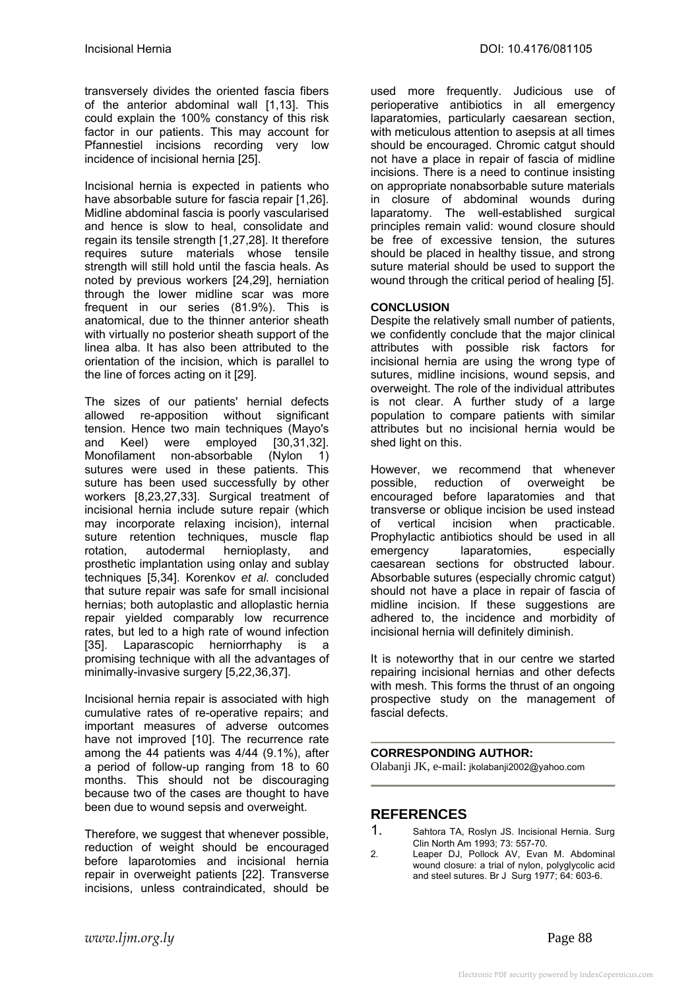transversely divides the oriented fascia fibers of the anterior abdominal wall [1,13]. This could explain the 100% constancy of this risk factor in our patients. This may account for Pfannestiel incisions recording very low incidence of incisional hernia [25].

Incisional hernia is expected in patients who have absorbable suture for fascia repair [1,26]. Midline abdominal fascia is poorly vascularised and hence is slow to heal, consolidate and regain its tensile strength [1,27,28]. It therefore requires suture materials whose tensile strength will still hold until the fascia heals. As noted by previous workers [24,29], herniation through the lower midline scar was more frequent in our series (81.9%). This is anatomical, due to the thinner anterior sheath with virtually no posterior sheath support of the linea alba. It has also been attributed to the orientation of the incision, which is parallel to the line of forces acting on it [29].

The sizes of our patients' hernial defects allowed re-apposition without significant tension. Hence two main techniques (Mayo's and Keel) were employed [30,31,32]. Monofilament non-absorbable (Nylon 1) sutures were used in these patients. This suture has been used successfully by other workers [8,23,27,33]. Surgical treatment of incisional hernia include suture repair (which may incorporate relaxing incision), internal suture retention techniques, muscle flap rotation, autodermal hernioplasty, and prosthetic implantation using onlay and sublay techniques [5,34]. Korenkov *et al.* concluded that suture repair was safe for small incisional hernias; both autoplastic and alloplastic hernia repair yielded comparably low recurrence rates, but led to a high rate of wound infection [35]. Laparascopic herniorrhaphy is a promising technique with all the advantages of minimally-invasive surgery [5,22,36,37].

Incisional hernia repair is associated with high cumulative rates of re-operative repairs; and important measures of adverse outcomes have not improved [10]. The recurrence rate among the 44 patients was 4/44 (9.1%), after a period of follow-up ranging from 18 to 60 months. This should not be discouraging because two of the cases are thought to have been due to wound sepsis and overweight.

Therefore, we suggest that whenever possible, reduction of weight should be encouraged before laparotomies and incisional hernia repair in overweight patients [22]. Transverse incisions, unless contraindicated, should be

used more frequently. Judicious use of perioperative antibiotics in all emergency laparatomies, particularly caesarean section, with meticulous attention to asepsis at all times should be encouraged. Chromic catgut should not have a place in repair of fascia of midline incisions. There is a need to continue insisting on appropriate nonabsorbable suture materials in closure of abdominal wounds during laparatomy. The well-established surgical principles remain valid: wound closure should be free of excessive tension, the sutures should be placed in healthy tissue, and strong suture material should be used to support the wound through the critical period of healing [5].

# **CONCLUSION**

Despite the relatively small number of patients, we confidently conclude that the major clinical attributes with possible risk factors for incisional hernia are using the wrong type of sutures, midline incisions, wound sepsis, and overweight. The role of the individual attributes is not clear. A further study of a large population to compare patients with similar attributes but no incisional hernia would be shed light on this.

However, we recommend that whenever possible, reduction of overweight be encouraged before laparatomies and that transverse or oblique incision be used instead of vertical incision when practicable. Prophylactic antibiotics should be used in all emergency laparatomies, especially caesarean sections for obstructed labour. Absorbable sutures (especially chromic catgut) should not have a place in repair of fascia of midline incision. If these suggestions are adhered to, the incidence and morbidity of incisional hernia will definitely diminish.

It is noteworthy that in our centre we started repairing incisional hernias and other defects with mesh. This forms the thrust of an ongoing prospective study on the management of fascial defects.

## **CORRESPONDING AUTHOR:**

Olabanji JK, e-mail: jkolabanji2002@yahoo.com

# **REFERENCES**

- 1. Sahtora TA, Roslyn JS. Incisional Hernia. Surg Clin North Am 1993; 73: 557-70.
- 2. Leaper DJ, Pollock AV, Evan M. Abdominal wound closure: a trial of nylon, polyglycolic acid and steel sutures. Br J Surg 1977; 64: 603-6.